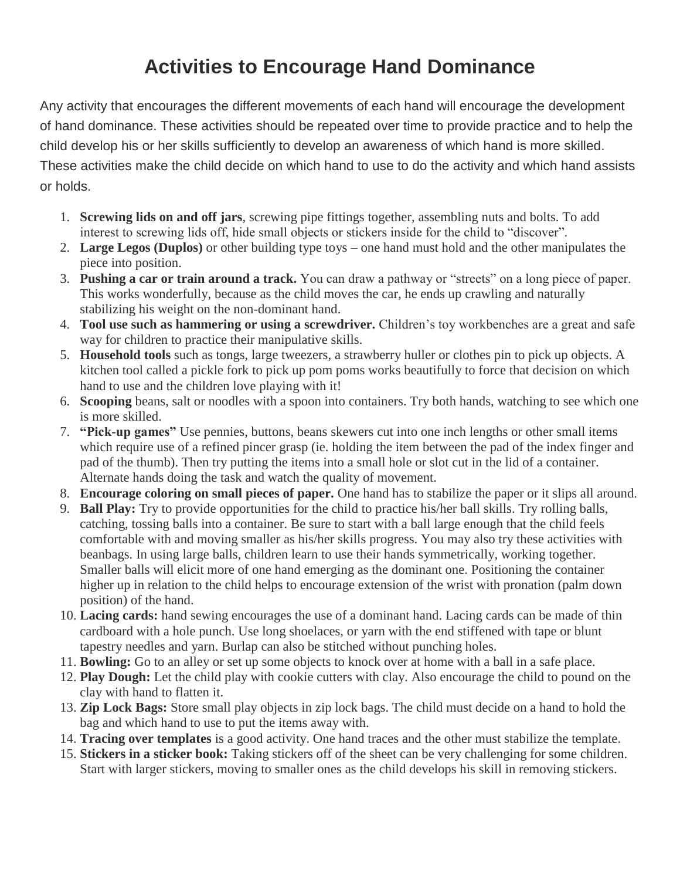## **Activities to Encourage Hand Dominance**

Any activity that encourages the different movements of each hand will encourage the development of hand dominance. These activities should be repeated over time to provide practice and to help the child develop his or her skills sufficiently to develop an awareness of which hand is more skilled. These activities make the child decide on which hand to use to do the activity and which hand assists or holds.

- 1. **Screwing lids on and off jars**, screwing pipe fittings together, assembling nuts and bolts. To add interest to screwing lids off, hide small objects or stickers inside for the child to "discover".
- 2. **Large Legos (Duplos)** or other building type toys one hand must hold and the other manipulates the piece into position.
- 3. **Pushing a car or train around a track.** You can draw a pathway or "streets" on a long piece of paper. This works wonderfully, because as the child moves the car, he ends up crawling and naturally stabilizing his weight on the non-dominant hand.
- 4. **Tool use such as hammering or using a screwdriver.** Children's toy workbenches are a great and safe way for children to practice their manipulative skills.
- 5. **Household tools** such as tongs, large tweezers, a strawberry huller or clothes pin to pick up objects. A kitchen tool called a pickle fork to pick up pom poms works beautifully to force that decision on which hand to use and the children love playing with it!
- 6. **Scooping** beans, salt or noodles with a spoon into containers. Try both hands, watching to see which one is more skilled.
- 7. **"Pick-up games"** Use pennies, buttons, beans skewers cut into one inch lengths or other small items which require use of a refined pincer grasp (ie. holding the item between the pad of the index finger and pad of the thumb). Then try putting the items into a small hole or slot cut in the lid of a container. Alternate hands doing the task and watch the quality of movement.
- 8. **Encourage coloring on small pieces of paper.** One hand has to stabilize the paper or it slips all around.
- 9. **Ball Play:** Try to provide opportunities for the child to practice his/her ball skills. Try rolling balls, catching, tossing balls into a container. Be sure to start with a ball large enough that the child feels comfortable with and moving smaller as his/her skills progress. You may also try these activities with beanbags. In using large balls, children learn to use their hands symmetrically, working together. Smaller balls will elicit more of one hand emerging as the dominant one. Positioning the container higher up in relation to the child helps to encourage extension of the wrist with pronation (palm down position) of the hand.
- 10. **Lacing cards:** hand sewing encourages the use of a dominant hand. Lacing cards can be made of thin cardboard with a hole punch. Use long shoelaces, or yarn with the end stiffened with tape or blunt tapestry needles and yarn. Burlap can also be stitched without punching holes.
- 11. **Bowling:** Go to an alley or set up some objects to knock over at home with a ball in a safe place.
- 12. **Play Dough:** Let the child play with cookie cutters with clay. Also encourage the child to pound on the clay with hand to flatten it.
- 13. **Zip Lock Bags:** Store small play objects in zip lock bags. The child must decide on a hand to hold the bag and which hand to use to put the items away with.
- 14. **Tracing over templates** is a good activity. One hand traces and the other must stabilize the template.
- 15. **Stickers in a sticker book:** Taking stickers off of the sheet can be very challenging for some children. Start with larger stickers, moving to smaller ones as the child develops his skill in removing stickers.